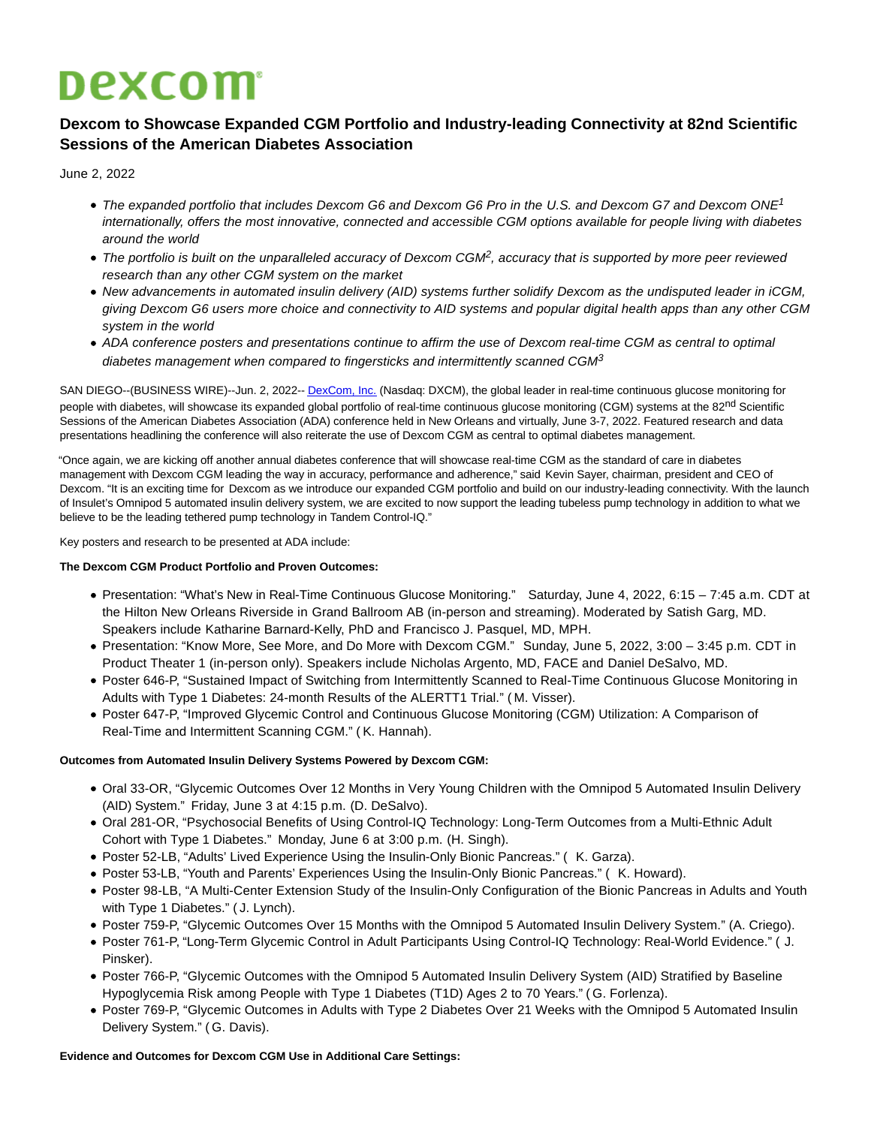# **Dexcom**

## **Dexcom to Showcase Expanded CGM Portfolio and Industry-leading Connectivity at 82nd Scientific Sessions of the American Diabetes Association**

June 2, 2022

- The expanded portfolio that includes Dexcom G6 and Dexcom G6 Pro in the U.S. and Dexcom G7 and Dexcom ONE<sup>1</sup> internationally, offers the most innovative, connected and accessible CGM options available for people living with diabetes around the world
- The portfolio is built on the unparalleled accuracy of Dexcom CGM<sup>2</sup>, accuracy that is supported by more peer reviewed research than any other CGM system on the market
- New advancements in automated insulin delivery (AID) systems further solidify Dexcom as the undisputed leader in iCGM, giving Dexcom G6 users more choice and connectivity to AID systems and popular digital health apps than any other CGM system in the world
- ADA conference posters and presentations continue to affirm the use of Dexcom real-time CGM as central to optimal diabetes management when compared to fingersticks and intermittently scanned CGM $3$

SAN DIEGO--(BUSINESS WIRE)--Jun. 2, 2022-[- DexCom, Inc. \(](https://cts.businesswire.com/ct/CT?id=smartlink&url=http%3A%2F%2Fwww.dexcom.com%2F&esheet=52737554&newsitemid=20220602005415&lan=en-US&anchor=DexCom%2C+Inc.&index=1&md5=9ebdf05a09c072c6e9a17a0eddb6f5f5)Nasdaq: DXCM), the global leader in real-time continuous glucose monitoring for people with diabetes, will showcase its expanded global portfolio of real-time continuous glucose monitoring (CGM) systems at the 82<sup>nd</sup> Scientific Sessions of the American Diabetes Association (ADA) conference held in New Orleans and virtually, June 3-7, 2022. Featured research and data presentations headlining the conference will also reiterate the use of Dexcom CGM as central to optimal diabetes management.

"Once again, we are kicking off another annual diabetes conference that will showcase real-time CGM as the standard of care in diabetes management with Dexcom CGM leading the way in accuracy, performance and adherence," said Kevin Sayer, chairman, president and CEO of Dexcom. "It is an exciting time for Dexcom as we introduce our expanded CGM portfolio and build on our industry-leading connectivity. With the launch of Insulet's Omnipod 5 automated insulin delivery system, we are excited to now support the leading tubeless pump technology in addition to what we believe to be the leading tethered pump technology in Tandem Control-IQ."

Key posters and research to be presented at ADA include:

### **The Dexcom CGM Product Portfolio and Proven Outcomes:**

- Presentation: "What's New in Real-Time Continuous Glucose Monitoring." Saturday, June 4, 2022, 6:15 7:45 a.m. CDT at the Hilton New Orleans Riverside in Grand Ballroom AB (in-person and streaming). Moderated by Satish Garg, MD. Speakers include Katharine Barnard-Kelly, PhD and Francisco J. Pasquel, MD, MPH.
- Presentation: "Know More, See More, and Do More with Dexcom CGM." Sunday, June 5, 2022, 3:00 3:45 p.m. CDT in Product Theater 1 (in-person only). Speakers include Nicholas Argento, MD, FACE and Daniel DeSalvo, MD.
- Poster 646-P, "Sustained Impact of Switching from Intermittently Scanned to Real-Time Continuous Glucose Monitoring in Adults with Type 1 Diabetes: 24-month Results of the ALERTT1 Trial." ( M. Visser).
- Poster 647-P, "Improved Glycemic Control and Continuous Glucose Monitoring (CGM) Utilization: A Comparison of Real-Time and Intermittent Scanning CGM." ( K. Hannah).

### **Outcomes from Automated Insulin Delivery Systems Powered by Dexcom CGM:**

- Oral 33-OR, "Glycemic Outcomes Over 12 Months in Very Young Children with the Omnipod 5 Automated Insulin Delivery (AID) System." Friday, June 3 at 4:15 p.m. (D. DeSalvo).
- Oral 281-OR, "Psychosocial Benefits of Using Control-IQ Technology: Long-Term Outcomes from a Multi-Ethnic Adult Cohort with Type 1 Diabetes." Monday, June 6 at 3:00 p.m. (H. Singh).
- Poster 52-LB, "Adults' Lived Experience Using the Insulin-Only Bionic Pancreas." ( K. Garza).
- Poster 53-LB, "Youth and Parents' Experiences Using the Insulin-Only Bionic Pancreas." ( K. Howard).
- Poster 98-LB, "A Multi-Center Extension Study of the Insulin-Only Configuration of the Bionic Pancreas in Adults and Youth with Type 1 Diabetes." ( J. Lynch).
- Poster 759-P, "Glycemic Outcomes Over 15 Months with the Omnipod 5 Automated Insulin Delivery System." (A. Criego).
- Poster 761-P, "Long-Term Glycemic Control in Adult Participants Using Control-IQ Technology: Real-World Evidence." ( J. Pinsker).
- Poster 766-P, "Glycemic Outcomes with the Omnipod 5 Automated Insulin Delivery System (AID) Stratified by Baseline Hypoglycemia Risk among People with Type 1 Diabetes (T1D) Ages 2 to 70 Years." ( G. Forlenza).
- Poster 769-P, "Glycemic Outcomes in Adults with Type 2 Diabetes Over 21 Weeks with the Omnipod 5 Automated Insulin Delivery System." ( G. Davis).

### **Evidence and Outcomes for Dexcom CGM Use in Additional Care Settings:**